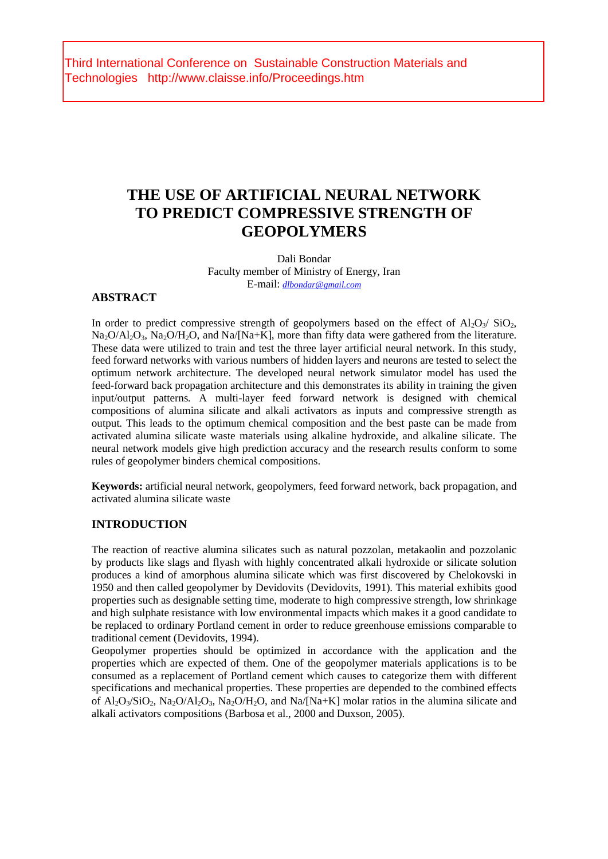Third International Conference on Sustainable Construction Materials and Technologies http://www.claisse.info/Proceedings.htm

# **THE USE OF ARTIFICIAL NEURAL NETWORK TO PREDICT COMPRESSIVE STRENGTH OF GEOPOLYMERS**

Dali Bondar Faculty member of Ministry of Energy, Iran E-mail: *dlbondar@gmail.com*

### **ABSTRACT**

In order to predict compressive strength of geopolymers based on the effect of  $\text{Al}_2\text{O}_3/\text{SiO}_2$ ,  $Na<sub>2</sub>O/Al<sub>2</sub>O<sub>3</sub>$ , Na<sub>2</sub>O/H<sub>2</sub>O, and Na/[Na+K], more than fifty data were gathered from the literature. These data were utilized to train and test the three layer artificial neural network. In this study, feed forward networks with various numbers of hidden layers and neurons are tested to select the optimum network architecture. The developed neural network simulator model has used the feed-forward back propagation architecture and this demonstrates its ability in training the given input/output patterns. A multi-layer feed forward network is designed with chemical compositions of alumina silicate and alkali activators as inputs and compressive strength as output. This leads to the optimum chemical composition and the best paste can be made from activated alumina silicate waste materials using alkaline hydroxide, and alkaline silicate. The neural network models give high prediction accuracy and the research results conform to some rules of geopolymer binders chemical compositions.

**Keywords:** artificial neural network, geopolymers, feed forward network, back propagation, and activated alumina silicate waste

## **INTRODUCTION**

The reaction of reactive alumina silicates such as natural pozzolan, metakaolin and pozzolanic by products like slags and flyash with highly concentrated alkali hydroxide or silicate solution produces a kind of amorphous alumina silicate which was first discovered by Chelokovski in 1950 and then called geopolymer by Devidovits (Devidovits, 1991). This material exhibits good properties such as designable setting time, moderate to high compressive strength, low shrinkage and high sulphate resistance with low environmental impacts which makes it a good candidate to be replaced to ordinary Portland cement in order to reduce greenhouse emissions comparable to traditional cement (Devidovits, 1994).

Geopolymer properties should be optimized in accordance with the application and the properties which are expected of them. One of the geopolymer materials applications is to be consumed as a replacement of Portland cement which causes to categorize them with different specifications and mechanical properties. These properties are depended to the combined effects of Al<sub>2</sub>O<sub>3</sub>/SiO<sub>2</sub>, Na<sub>2</sub>O/Al<sub>2</sub>O<sub>3</sub>, Na<sub>2</sub>O/H<sub>2</sub>O, and Na/[Na+K] molar ratios in the alumina silicate and alkali activators compositions (Barbosa et al., 2000 and Duxson, 2005).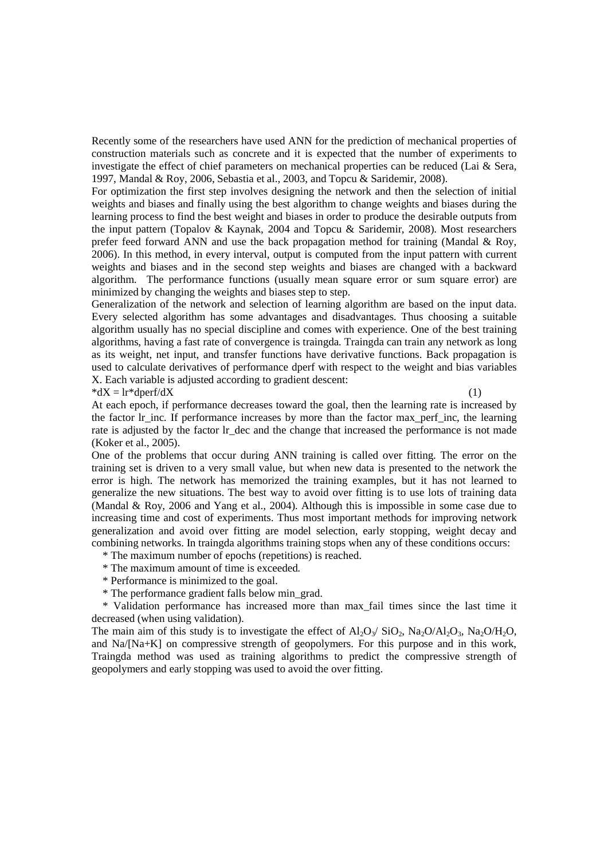Recently some of the researchers have used ANN for the prediction of mechanical properties of construction materials such as concrete and it is expected that the number of experiments to investigate the effect of chief parameters on mechanical properties can be reduced (Lai & Sera, 1997, Mandal & Roy, 2006, Sebastia et al., 2003, and Topcu & Saridemir, 2008).

For optimization the first step involves designing the network and then the selection of initial weights and biases and finally using the best algorithm to change weights and biases during the learning process to find the best weight and biases in order to produce the desirable outputs from the input pattern (Topalov & Kaynak, 2004 and Topcu & Saridemir, 2008). Most researchers prefer feed forward ANN and use the back propagation method for training (Mandal  $\&$  Roy, 2006). In this method, in every interval, output is computed from the input pattern with current weights and biases and in the second step weights and biases are changed with a backward algorithm. The performance functions (usually mean square error or sum square error) are minimized by changing the weights and biases step to step.

Generalization of the network and selection of learning algorithm are based on the input data. Every selected algorithm has some advantages and disadvantages. Thus choosing a suitable algorithm usually has no special discipline and comes with experience. One of the best training algorithms, having a fast rate of convergence is traingda. Traingda can train any network as long as its weight, net input, and transfer functions have derivative functions. Back propagation is used to calculate derivatives of performance dperf with respect to the weight and bias variables X. Each variable is adjusted according to gradient descent:

 $*dX = Ir *dperf/dX$  (1)

At each epoch, if performance decreases toward the goal, then the learning rate is increased by the factor lr\_inc. If performance increases by more than the factor max\_perf\_inc, the learning rate is adjusted by the factor lr dec and the change that increased the performance is not made (Koker et al., 2005).

One of the problems that occur during ANN training is called over fitting. The error on the training set is driven to a very small value, but when new data is presented to the network the error is high. The network has memorized the training examples, but it has not learned to generalize the new situations. The best way to avoid over fitting is to use lots of training data (Mandal & Roy, 2006 and Yang et al., 2004). Although this is impossible in some case due to increasing time and cost of experiments. Thus most important methods for improving network generalization and avoid over fitting are model selection, early stopping, weight decay and combining networks. In traingda algorithms training stops when any of these conditions occurs:

- \* The maximum number of epochs (repetitions) is reached.
- \* The maximum amount of time is exceeded.
- \* Performance is minimized to the goal.
- \* The performance gradient falls below min\_grad.

 \* Validation performance has increased more than max\_fail times since the last time it decreased (when using validation).

The main aim of this study is to investigate the effect of  $A_1O_2/SiO_2$ ,  $Na_2O/H_2O_3$ ,  $Na_2O/H_2O$ , and Na/[Na+K] on compressive strength of geopolymers. For this purpose and in this work, Traingda method was used as training algorithms to predict the compressive strength of geopolymers and early stopping was used to avoid the over fitting.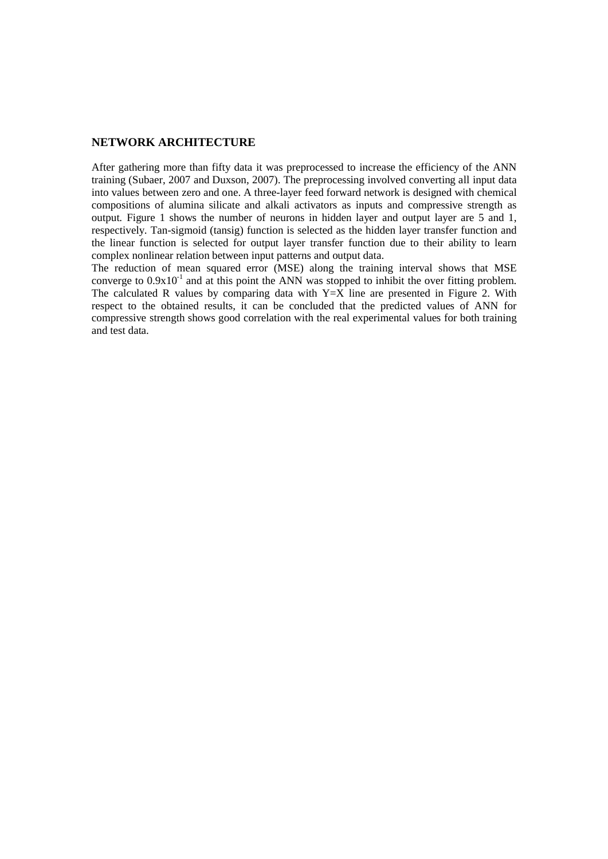# **NETWORK ARCHITECTURE**

After gathering more than fifty data it was preprocessed to increase the efficiency of the ANN training (Subaer, 2007 and Duxson, 2007). The preprocessing involved converting all input data into values between zero and one. A three-layer feed forward network is designed with chemical compositions of alumina silicate and alkali activators as inputs and compressive strength as output. Figure 1 shows the number of neurons in hidden layer and output layer are 5 and 1, respectively. Tan-sigmoid (tansig) function is selected as the hidden layer transfer function and the linear function is selected for output layer transfer function due to their ability to learn complex nonlinear relation between input patterns and output data.

The reduction of mean squared error (MSE) along the training interval shows that MSE converge to  $0.9x10^{-1}$  and at this point the ANN was stopped to inhibit the over fitting problem. The calculated R values by comparing data with  $Y=\overline{X}$  line are presented in Figure 2. With respect to the obtained results, it can be concluded that the predicted values of ANN for compressive strength shows good correlation with the real experimental values for both training and test data.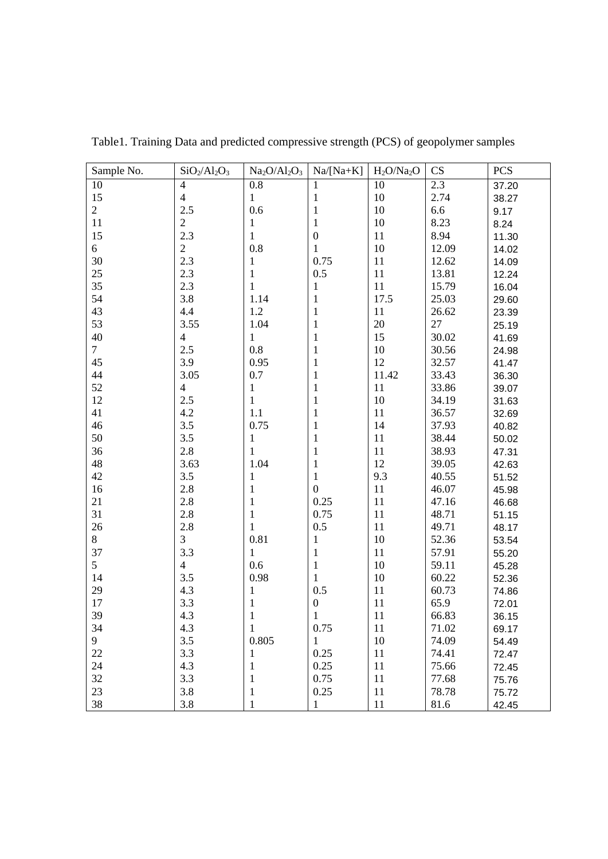| Sample No.     | $SiO2/Al2O3$   | $Na2O/Al2O3$ | $Na/[Na+K]$      | $H_2O/Na_2O$ | CS    | <b>PCS</b> |
|----------------|----------------|--------------|------------------|--------------|-------|------------|
| 10             | $\overline{4}$ | 0.8          | 1                | 10           | 2.3   | 37.20      |
| 15             | $\overline{4}$ | 1            | 1                | 10           | 2.74  | 38.27      |
| $\overline{2}$ | 2.5            | 0.6          | 1                | 10           | 6.6   | 9.17       |
| 11             | $\mathfrak{2}$ | 1            | 1                | 10           | 8.23  | 8.24       |
| 15             | 2.3            | 1            | $\boldsymbol{0}$ | 11           | 8.94  | 11.30      |
| 6              | $\sqrt{2}$     | 0.8          | 1                | 10           | 12.09 | 14.02      |
| 30             | 2.3            | $\mathbf{1}$ | 0.75             | 11           | 12.62 | 14.09      |
| 25             | 2.3            | 1            | 0.5              | 11           | 13.81 | 12.24      |
| 35             | 2.3            | 1            | 1                | 11           | 15.79 | 16.04      |
| 54             | 3.8            | 1.14         | 1                | 17.5         | 25.03 | 29.60      |
| 43             | 4.4            | 1.2          | $\mathbf{1}$     | 11           | 26.62 | 23.39      |
| 53             | 3.55           | 1.04         | 1                | 20           | 27    | 25.19      |
| 40             | $\overline{4}$ | $\mathbf{1}$ | $\mathbf{1}$     | 15           | 30.02 | 41.69      |
| $\overline{7}$ | 2.5            | 0.8          | $\mathbf{1}$     | 10           | 30.56 | 24.98      |
| 45             | 3.9            | 0.95         | $\mathbf{1}$     | 12           | 32.57 | 41.47      |
| 44             | 3.05           | 0.7          | 1                | 11.42        | 33.43 | 36.30      |
| 52             | $\overline{4}$ | 1            | 1                | 11           | 33.86 | 39.07      |
| 12             | 2.5            | 1            | 1                | 10           | 34.19 | 31.63      |
| 41             | 4.2            | 1.1          | 1                | 11           | 36.57 | 32.69      |
| 46             | 3.5            | 0.75         | 1                | 14           | 37.93 | 40.82      |
| 50             | 3.5            | $\mathbf{1}$ | 1                | 11           | 38.44 | 50.02      |
| 36             | 2.8            | 1            | 1                | 11           | 38.93 | 47.31      |
| 48             | 3.63           | 1.04         | 1                | 12           | 39.05 | 42.63      |
| 42             | 3.5            | $\mathbf{1}$ | $\mathbf{1}$     | 9.3          | 40.55 | 51.52      |
| 16             | 2.8            | $\mathbf{1}$ | $\boldsymbol{0}$ | 11           | 46.07 | 45.98      |
| 21             | 2.8            | $\mathbf{1}$ | 0.25             | 11           | 47.16 | 46.68      |
| 31             | 2.8            | $\mathbf{1}$ | 0.75             | 11           | 48.71 | 51.15      |
| 26             | 2.8            | $\mathbf{1}$ | 0.5              | 11           | 49.71 | 48.17      |
| 8              | 3              | 0.81         | $\mathbf 1$      | 10           | 52.36 | 53.54      |
| 37             | 3.3            | 1            | 1                | 11           | 57.91 | 55.20      |
| 5              | $\overline{4}$ | 0.6          | $\mathbf{1}$     | 10           | 59.11 | 45.28      |
| 14             | 3.5            | 0.98         | 1                | 10           | 60.22 | 52.36      |
| 29             | 4.3            | 1            | 0.5              | 11           | 60.73 | 74.86      |
| 17             | 3.3            | 1            | $\boldsymbol{0}$ | 11           | 65.9  | 72.01      |
| 39             | 4.3            |              |                  | 11           | 66.83 | 36.15      |
| 34             | 4.3            | 1            | 0.75             | 11           | 71.02 | 69.17      |
| 9              | 3.5            | 0.805        | $\mathbf{1}$     | 10           | 74.09 | 54.49      |
| 22             | 3.3            | 1            | 0.25             | 11           | 74.41 | 72.47      |
| 24             | 4.3            | 1            | 0.25             | 11           | 75.66 | 72.45      |
| 32             | 3.3            | 1            | 0.75             | 11           | 77.68 | 75.76      |
| 23             | 3.8            | 1            | 0.25             | 11           | 78.78 | 75.72      |
| 38             | 3.8            | 1            | 1                | 11           | 81.6  | 42.45      |

Table1. Training Data and predicted compressive strength (PCS) of geopolymer samples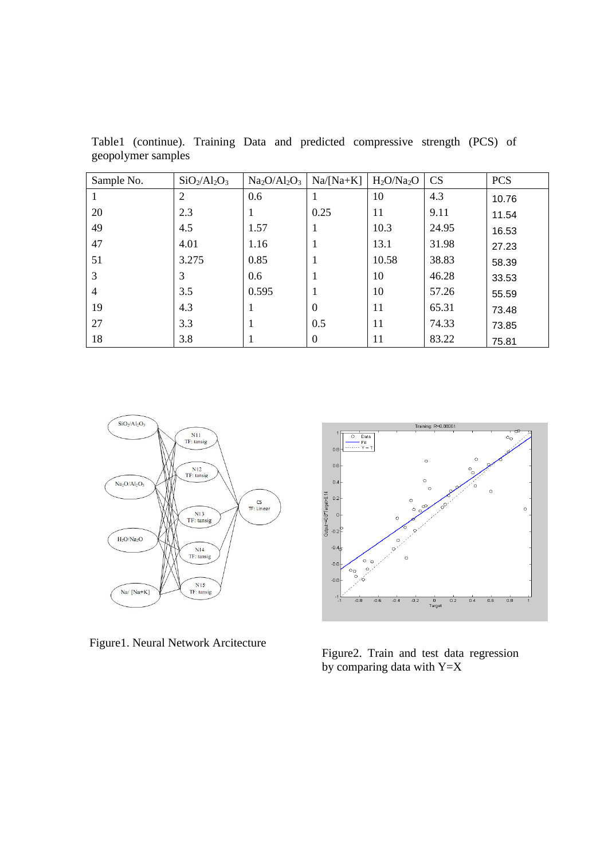| Sample No.     | $SiO2/Al2O3$ | $Na2O/Al2O3$ | $Na/[Na+K]$ | $H_2O/Na_2O$ | <b>CS</b> | <b>PCS</b> |
|----------------|--------------|--------------|-------------|--------------|-----------|------------|
|                | 2            | 0.6          |             | 10           | 4.3       | 10.76      |
| 20             | 2.3          |              | 0.25        | 11           | 9.11      | 11.54      |
| 49             | 4.5          | 1.57         |             | 10.3         | 24.95     | 16.53      |
| 47             | 4.01         | 1.16         |             | 13.1         | 31.98     | 27.23      |
| 51             | 3.275        | 0.85         |             | 10.58        | 38.83     | 58.39      |
| 3              | 3            | 0.6          |             | 10           | 46.28     | 33.53      |
| $\overline{4}$ | 3.5          | 0.595        |             | 10           | 57.26     | 55.59      |
| 19             | 4.3          |              | $\Omega$    | 11           | 65.31     | 73.48      |
| 27             | 3.3          |              | 0.5         | 11           | 74.33     | 73.85      |
| 18             | 3.8          |              | $\theta$    | 11           | 83.22     | 75.81      |

Table1 (continue). Training Data and predicted compressive strength (PCS) of geopolymer samples





Figure1. Neural Network Arcitecture<br>Figure2. Train and test data regression by comparing data with  $Y=X$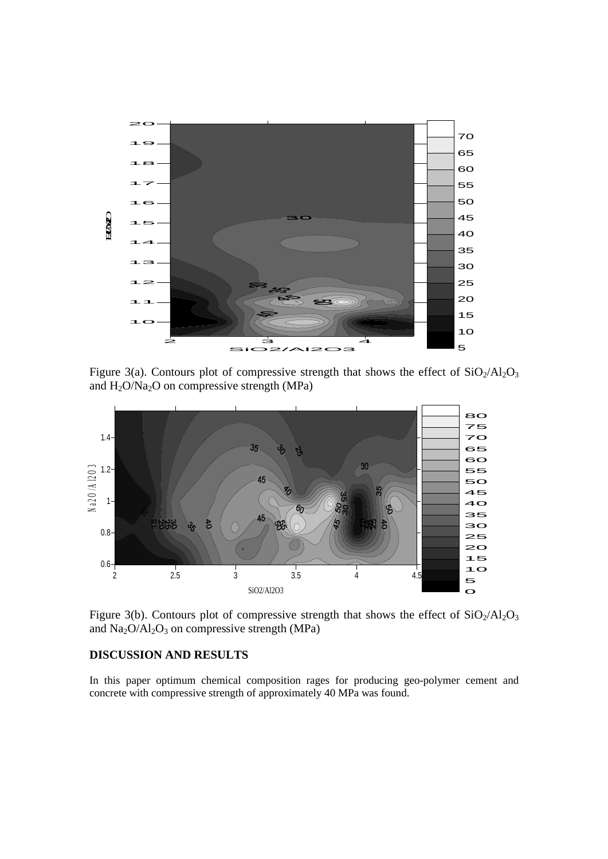

Figure 3(a). Contours plot of compressive strength that shows the effect of  $SiO_2/Al_2O_3$ and  $H_2O/Na_2O$  on compressive strength (MPa)



Figure 3(b). Contours plot of compressive strength that shows the effect of  $SiO_2/Al_2O_3$ and  $Na<sub>2</sub>O/Al<sub>2</sub>O<sub>3</sub>$  on compressive strength (MPa)

# **DISCUSSION AND RESULTS**

In this paper optimum chemical composition rages for producing geo-polymer cement and concrete with compressive strength of approximately 40 MPa was found.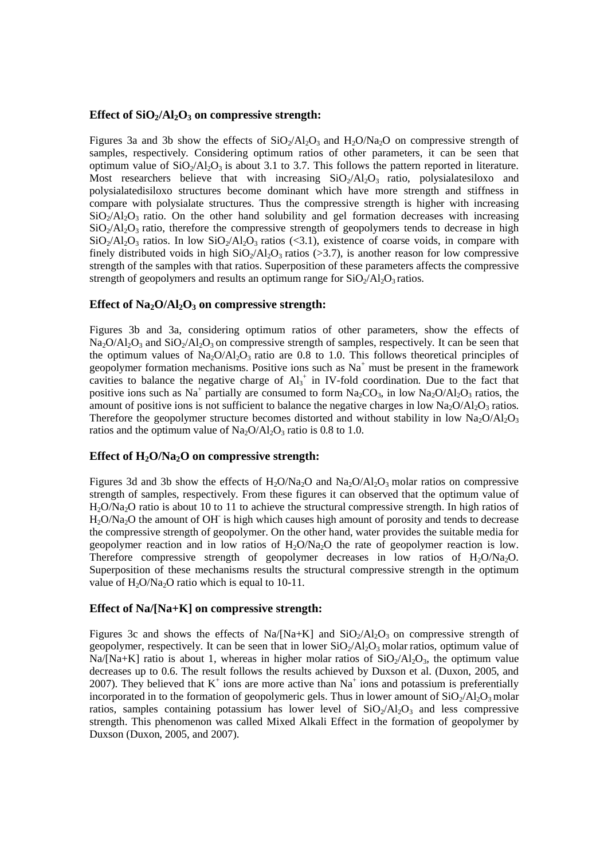#### **Effect of SiO2/Al2O3 on compressive strength:**

Figures 3a and 3b show the effects of  $SiO<sub>2</sub>/Al<sub>2</sub>O<sub>3</sub>$  and H<sub>2</sub>O/Na<sub>2</sub>O on compressive strength of samples, respectively. Considering optimum ratios of other parameters, it can be seen that optimum value of  $SiO_2/Al_2O_3$  is about 3.1 to 3.7. This follows the pattern reported in literature. Most researchers believe that with increasing  $SiO<sub>2</sub>/Al<sub>2</sub>O<sub>3</sub>$  ratio, polysialatesiloxo and polysialatedisiloxo structures become dominant which have more strength and stiffness in compare with polysialate structures. Thus the compressive strength is higher with increasing  $SiO<sub>2</sub>/Al<sub>2</sub>O<sub>3</sub>$  ratio. On the other hand solubility and gel formation decreases with increasing  $SiO<sub>2</sub>/Al<sub>2</sub>O<sub>3</sub>$  ratio, therefore the compressive strength of geopolymers tends to decrease in high  $SiO<sub>2</sub>/Al<sub>2</sub>O<sub>3</sub>$  ratios. In low  $SiO<sub>2</sub>/Al<sub>2</sub>O<sub>3</sub>$  ratios (<3.1), existence of coarse voids, in compare with finely distributed voids in high  $SiO_2/Al_2O_3$  ratios (>3.7), is another reason for low compressive strength of the samples with that ratios. Superposition of these parameters affects the compressive strength of geopolymers and results an optimum range for  $SiO<sub>2</sub>/Al<sub>2</sub>O<sub>3</sub>$  ratios.

## Effect of Na<sub>2</sub>O/Al<sub>2</sub>O<sub>3</sub> on compressive strength:

Figures 3b and 3a, considering optimum ratios of other parameters, show the effects of  $Na_2O/Al_2O_3$  and  $SiO_2/Al_2O_3$  on compressive strength of samples, respectively. It can be seen that the optimum values of  $Na_2O/Al_2O_3$  ratio are 0.8 to 1.0. This follows theoretical principles of geopolymer formation mechanisms. Positive ions such as  $Na<sup>+</sup>$  must be present in the framework cavities to balance the negative charge of  $Al_3^+$  in IV-fold coordination. Due to the fact that positive ions such as Na<sup>+</sup> partially are consumed to form  $Na_2CO_3$ , in low  $Na_2O/Al_2O_3$  ratios, the amount of positive ions is not sufficient to balance the negative charges in low  $Na_2O/Al_2O_3$  ratios. Therefore the geopolymer structure becomes distorted and without stability in low  $Na_2O/Al_2O_3$ ratios and the optimum value of  $Na_2O/Al_2O_3$  ratio is 0.8 to 1.0.

### Effect of H<sub>2</sub>O/Na<sub>2</sub>O on compressive strength:

Figures 3d and 3b show the effects of  $H_2O/Na_2O$  and  $Na_2O/Al_2O_3$  molar ratios on compressive strength of samples, respectively. From these figures it can observed that the optimum value of H2O/Na2O ratio is about 10 to 11 to achieve the structural compressive strength. In high ratios of H2O/Na2O the amount of OH- is high which causes high amount of porosity and tends to decrease the compressive strength of geopolymer. On the other hand, water provides the suitable media for geopolymer reaction and in low ratios of  $H_2O/Na_2O$  the rate of geopolymer reaction is low. Therefore compressive strength of geopolymer decreases in low ratios of  $H_2O/Na_2O$ . Superposition of these mechanisms results the structural compressive strength in the optimum value of  $H_2O/Na_2O$  ratio which is equal to 10-11.

#### **Effect of Na/[Na+K] on compressive strength:**

Figures 3c and shows the effects of Na/[Na+K] and  $SiO<sub>2</sub>/Al<sub>2</sub>O<sub>3</sub>$  on compressive strength of geopolymer, respectively. It can be seen that in lower  $SiO_2/Al_2O_3$  molar ratios, optimum value of  $Na/[Na+K]$  ratio is about 1, whereas in higher molar ratios of  $SiO<sub>2</sub>/Al<sub>2</sub>O<sub>3</sub>$ , the optimum value decreases up to 0.6. The result follows the results achieved by Duxson et al. (Duxon, 2005, and 2007). They believed that  $K^+$  ions are more active than  $Na^+$  ions and potassium is preferentially incorporated in to the formation of geopolymeric gels. Thus in lower amount of  $SiO_2/Al_2O_3$  molar ratios, samples containing potassium has lower level of  $SiO<sub>2</sub>/Al<sub>2</sub>O<sub>3</sub>$  and less compressive strength. This phenomenon was called Mixed Alkali Effect in the formation of geopolymer by Duxson (Duxon, 2005, and 2007).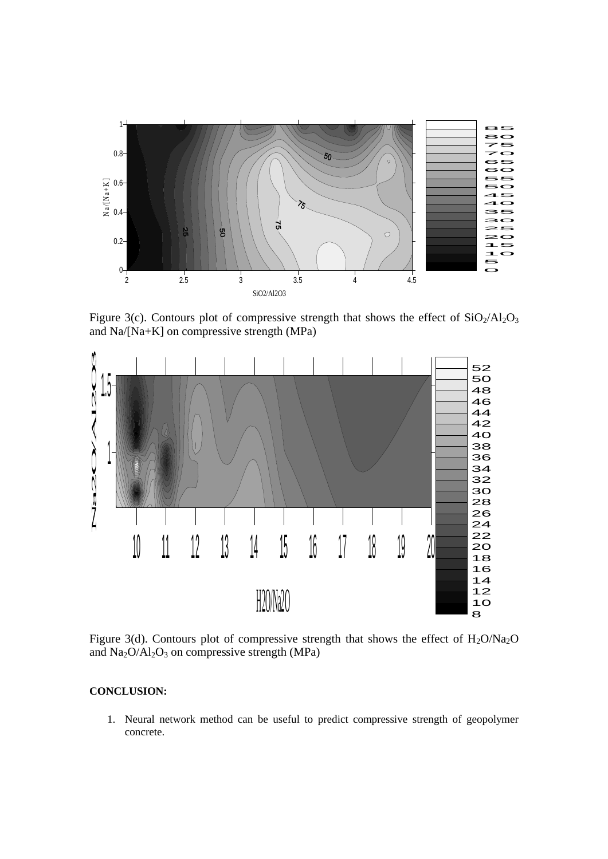

Figure 3(c). Contours plot of compressive strength that shows the effect of  $SiO<sub>2</sub>/Al<sub>2</sub>O<sub>3</sub>$ and Na/[Na+K] on compressive strength (MPa)



Figure 3(d). Contours plot of compressive strength that shows the effect of  $H_2O/Na_2O$ and  $Na<sub>2</sub>O/Al<sub>2</sub>O<sub>3</sub>$  on compressive strength (MPa)

# **CONCLUSION:**

1. Neural network method can be useful to predict compressive strength of geopolymer concrete.